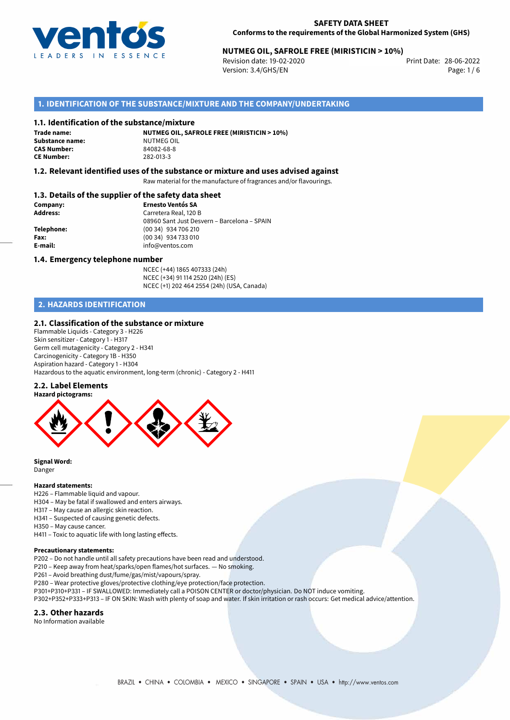

# 28-06-2022 **NUTMEG OIL, SAFROLE FREE (MIRISTICIN > 10%)**

Revision date: 19-02-2020 Version: 3.4/GHS/EN Page: 1 / 6

## **1. IDENTIFICATION OF THE SUBSTANCE/MIXTURE AND THE COMPANY/UNDERTAKING**

#### **1.1. Identification of the substance/mixture**

**Trade name: Substance name:** NUTMEG OIL<br> **CAS Number:** 84082-68-8 **CAS Number: CE Number:** 282-013-3

**NUTMEG OIL, SAFROLE FREE (MIRISTICIN > 10%)**

## **1.2. Relevant identified uses of the substance or mixture and uses advised against**

Raw material for the manufacture of fragrances and/or flavourings.

## **1.3. Details of the supplier of the safety data sheet**

| Company:        | <b>Ernesto Ventós SA</b>                    |
|-----------------|---------------------------------------------|
| <b>Address:</b> | Carretera Real, 120 B                       |
|                 | 08960 Sant Just Desvern - Barcelona - SPAIN |
| Telephone:      | (00 34) 934 706 210                         |
| Fax:            | (00 34) 934 733 010                         |
| E-mail:         | info@ventos.com                             |
|                 |                                             |

#### **1.4. Emergency telephone number**

NCEC (+44) 1865 407333 (24h) NCEC (+34) 91 114 2520 (24h) (ES) NCEC (+1) 202 464 2554 (24h) (USA, Canada)

## **2. HAZARDS IDENTIFICATION**

### **2.1. Classification of the substance or mixture**

Flammable Liquids - Category 3 - H226 Skin sensitizer - Category 1 - H317 Germ cell mutagenicity - Category 2 - H341 Carcinogenicity - Category 1B - H350 Aspiration hazard - Category 1 - H304 Hazardous to the aquatic environment, long-term (chronic) - Category 2 - H411

#### **2.2. Label Elements**



**Signal Word:** Danger

#### **Hazard statements:**

- H226 Flammable liquid and vapour.
- H304 May be fatal if swallowed and enters airways.
- H317 May cause an allergic skin reaction.
- H341 Suspected of causing genetic defects.
- H350 May cause cancer.

H411 – Toxic to aquatic life with long lasting effects.

#### **Precautionary statements:**

P202 – Do not handle until all safety precautions have been read and understood.

P210 – Keep away from heat/sparks/open flames/hot surfaces. — No smoking.

P261 – Avoid breathing dust/fume/gas/mist/vapours/spray.

- P280 Wear protective gloves/protective clothing/eye protection/face protection.
- P301+P310+P331 IF SWALLOWED: Immediately call a POISON CENTER or doctor/physician. Do NOT induce vomiting.
- P302+P352+P333+P313 IF ON SKIN: Wash with plenty of soap and water. If skin irritation or rash occurs: Get medical advice/attention.

### **2.3. Other hazards**

No Information available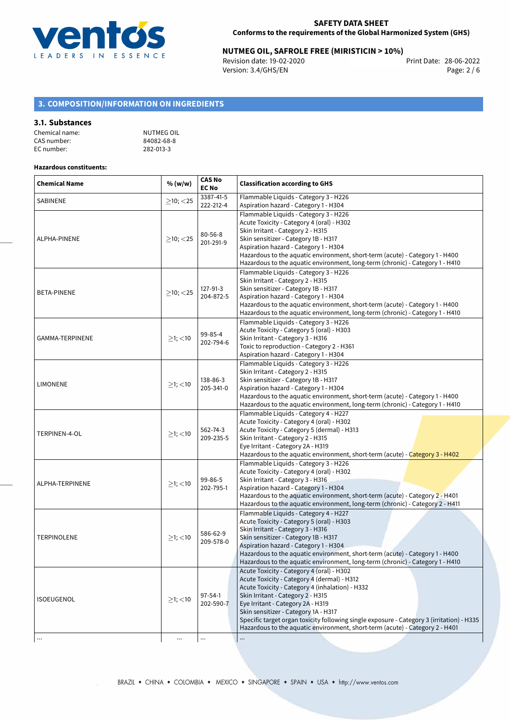

# 28-06-2022 **NUTMEG OIL, SAFROLE FREE (MIRISTICIN > 10%)**

Revision date: 19-02-2020 Version: 3.4/GHS/EN Page: 2 / 6

## **3. COMPOSITION/INFORMATION ON INGREDIENTS**

## **3.1. Substances**

| Chemical name: | NUTMEG OIL |
|----------------|------------|
| CAS number:    | 84082-68-8 |
| EC number:     | 282-013-3  |

### **Hazardous constituents:**

| <b>Chemical Name</b> | % (w/w)           | <b>CAS No</b><br><b>EC No</b> | <b>Classification according to GHS</b>                                                                                                                                                                                                                                                                                                                                                                                                     |  |
|----------------------|-------------------|-------------------------------|--------------------------------------------------------------------------------------------------------------------------------------------------------------------------------------------------------------------------------------------------------------------------------------------------------------------------------------------------------------------------------------------------------------------------------------------|--|
| SABINENE             | $\geq$ 10; $<$ 25 | 3387-41-5<br>222-212-4        | Flammable Liquids - Category 3 - H226<br>Aspiration hazard - Category 1 - H304                                                                                                                                                                                                                                                                                                                                                             |  |
| ALPHA-PINENE         | $>10$ ; < 25      | $80 - 56 - 8$<br>201-291-9    | Flammable Liquids - Category 3 - H226<br>Acute Toxicity - Category 4 (oral) - H302<br>Skin Irritant - Category 2 - H315<br>Skin sensitizer - Category 1B - H317<br>Aspiration hazard - Category 1 - H304<br>Hazardous to the aquatic environment, short-term (acute) - Category 1 - H400<br>Hazardous to the aquatic environment, long-term (chronic) - Category 1 - H410                                                                  |  |
| <b>BETA-PINENE</b>   | $\geq$ 10; <25    | 127-91-3<br>204-872-5         | Flammable Liquids - Category 3 - H226<br>Skin Irritant - Category 2 - H315<br>Skin sensitizer - Category 1B - H317<br>Aspiration hazard - Category 1 - H304<br>Hazardous to the aquatic environment, short-term (acute) - Category 1 - H400<br>Hazardous to the aquatic environment, long-term (chronic) - Category 1 - H410                                                                                                               |  |
| GAMMA-TERPINENE      | $\geq$ 1; <10     | 99-85-4<br>202-794-6          | Flammable Liquids - Category 3 - H226<br>Acute Toxicity - Category 5 (oral) - H303<br>Skin Irritant - Category 3 - H316<br>Toxic to reproduction - Category 2 - H361<br>Aspiration hazard - Category 1 - H304                                                                                                                                                                                                                              |  |
| <b>LIMONENE</b>      | $\geq$ 1; <10     | 138-86-3<br>205-341-0         | Flammable Liquids - Category 3 - H226<br>Skin Irritant - Category 2 - H315<br>Skin sensitizer - Category 1B - H317<br>Aspiration hazard - Category 1 - H304<br>Hazardous to the aquatic environment, short-term (acute) - Category 1 - H400<br>Hazardous to the aquatic environment, long-term (chronic) - Category 1 - H410                                                                                                               |  |
| TERPINEN-4-OL        | $≥1;$ < 10        | 562-74-3<br>209-235-5         | Flammable Liquids - Category 4 - H227<br>Acute Toxicity - Category 4 (oral) - H302<br>Acute Toxicity - Category 5 (dermal) - H313<br>Skin Irritant - Category 2 - H315<br>Eye Irritant - Category 2A - H319<br>Hazardous to the aquatic environment, short-term (acute) - Category 3 - H402                                                                                                                                                |  |
| ALPHA-TERPINENE      | $\geq$ 1; <10     | 99-86-5<br>202-795-1          | Flammable Liquids - Category 3 - H226<br>Acute Toxicity - Category 4 (oral) - H302<br>Skin Irritant - Category 3 - H316<br>Aspiration hazard - Category 1 - H304<br>Hazardous to the aquatic environment, short-term (acute) - Category 2 - H401<br>Hazardous to the aquatic environment, long-term (chronic) - Category 2 - H411                                                                                                          |  |
| <b>TERPINOLENE</b>   | ≥1; < 10          | 586-62-9<br>209-578-0         | Flammable Liquids - Category 4 - H227<br>Acute Toxicity - Category 5 (oral) - H303<br>Skin Irritant - Category 3 - H316<br>Skin sensitizer - Category 1B - H317<br>Aspiration hazard - Category 1 - H304<br>Hazardous to the aquatic environment, short-term (acute) - Category 1 - H400<br>Hazardous to the aquatic environment, long-term (chronic) - Category 1 - H410                                                                  |  |
| <b>ISOEUGENOL</b>    | $\geq$ 1; <10     | $97 - 54 - 1$<br>202-590-7    | Acute Toxicity - Category 4 (oral) - H302<br>Acute Toxicity - Category 4 (dermal) - H312<br>Acute Toxicity - Category 4 (inhalation) - H332<br>Skin Irritant - Category 2 - H315<br>Eye Irritant - Category 2A - H319<br>Skin sensitizer - Category 1A - H317<br>Specific target organ toxicity following single exposure - Category 3 (irritation) - H335<br>Hazardous to the aquatic environment, short-term (acute) - Category 2 - H401 |  |
| $\cdots$             | $\cdots$          | $\cdots$                      |                                                                                                                                                                                                                                                                                                                                                                                                                                            |  |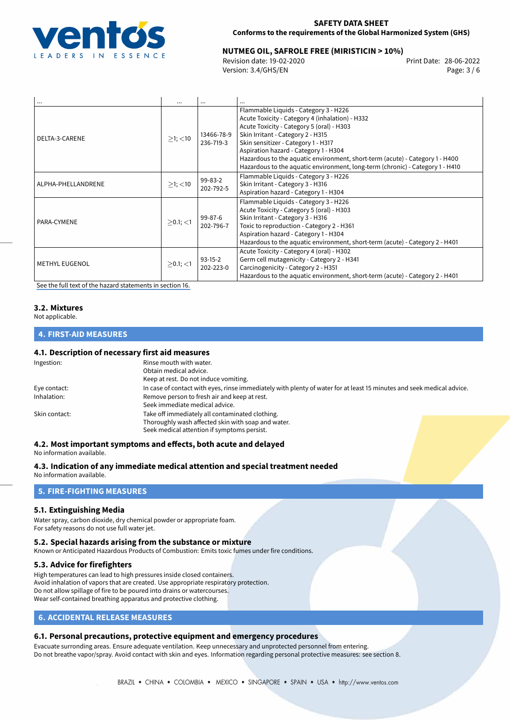

# 28-06-2022 **NUTMEG OIL, SAFROLE FREE (MIRISTICIN > 10%)**

Revision date: 19-02-2020 Version: 3.4/GHS/EN Page: 3 / 6

| $\cdots$              | $\cdots$      | $\cdots$                | $\cdots$                                                                                                                                                                                                                                                                                                                                                                                                                    |
|-----------------------|---------------|-------------------------|-----------------------------------------------------------------------------------------------------------------------------------------------------------------------------------------------------------------------------------------------------------------------------------------------------------------------------------------------------------------------------------------------------------------------------|
| DELTA-3-CARENE        | $>1$ ; $<$ 10 | 13466-78-9<br>236-719-3 | Flammable Liquids - Category 3 - H226<br>Acute Toxicity - Category 4 (inhalation) - H332<br>Acute Toxicity - Category 5 (oral) - H303<br>Skin Irritant - Category 2 - H315<br>Skin sensitizer - Category 1 - H317<br>Aspiration hazard - Category 1 - H304<br>Hazardous to the aquatic environment, short-term (acute) - Category 1 - H400<br>Hazardous to the aquatic environment, long-term (chronic) - Category 1 - H410 |
| ALPHA-PHELLANDRENE    | $>1$ ; $<$ 10 | 99-83-2<br>202-792-5    | Flammable Liquids - Category 3 - H226<br>Skin Irritant - Category 3 - H316<br>Aspiration hazard - Category 1 - H304                                                                                                                                                                                                                                                                                                         |
| PARA-CYMENE           | $>0.1$ ; <1   | 99-87-6<br>202-796-7    | Flammable Liquids - Category 3 - H226<br>Acute Toxicity - Category 5 (oral) - H303<br>Skin Irritant - Category 3 - H316<br>Toxic to reproduction - Category 2 - H361<br>Aspiration hazard - Category 1 - H304<br>Hazardous to the aquatic environment, short-term (acute) - Category 2 - H401                                                                                                                               |
| <b>METHYL EUGENOL</b> | $> 0.1$ ; <1  | $93-15-2$<br>202-223-0  | Acute Toxicity - Category 4 (oral) - H302<br>Germ cell mutagenicity - Category 2 - H341<br>Carcinogenicity - Category 2 - H351<br>Hazardous to the aquatic environment, short-term (acute) - Category 2 - H401                                                                                                                                                                                                              |

[See the full text of the hazard statements in section 16.](#page-5-0)

# **3.2. Mixtures**

Not applicable.

## **4. FIRST-AID MEASURES**

## **4.1. Description of necessary first aid measures**

| Ingestion:    | Rinse mouth with water.<br>Obtain medical advice.<br>Keep at rest. Do not induce vomiting.                                                           |
|---------------|------------------------------------------------------------------------------------------------------------------------------------------------------|
| Eye contact:  | In case of contact with eyes, rinse immediately with plenty of water for at least 15 minutes and seek medical advice.                                |
| Inhalation:   | Remove person to fresh air and keep at rest.<br>Seek immediate medical advice.                                                                       |
| Skin contact: | Take off immediately all contaminated clothing.<br>Thoroughly wash affected skin with soap and water.<br>Seek medical attention if symptoms persist. |

## **4.2. Most important symptoms and effects, both acute and delayed**

No information available.

**4.3. Indication of any immediate medical attention and special treatment needed** No information available.

## **5. FIRE-FIGHTING MEASURES**

## **5.1. Extinguishing Media**

Water spray, carbon dioxide, dry chemical powder or appropriate foam. For safety reasons do not use full water jet.

#### **5.2. Special hazards arising from the substance or mixture**

Known or Anticipated Hazardous Products of Combustion: Emits toxic fumes under fire conditions.

## **5.3. Advice for firefighters**

High temperatures can lead to high pressures inside closed containers. Avoid inhalation of vapors that are created. Use appropriate respiratory protection. Do not allow spillage of fire to be poured into drains or watercourses. Wear self-contained breathing apparatus and protective clothing.

## **6. ACCIDENTAL RELEASE MEASURES**

## **6.1. Personal precautions, protective equipment and emergency procedures**

Evacuate surronding areas. Ensure adequate ventilation. Keep unnecessary and unprotected personnel from entering. Do not breathe vapor/spray. Avoid contact with skin and eyes. Information regarding personal protective measures: see section 8.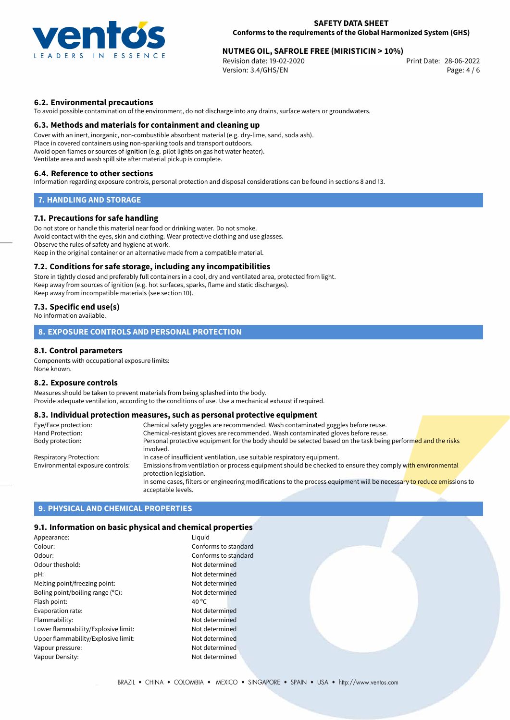

# 28-06-2022 **NUTMEG OIL, SAFROLE FREE (MIRISTICIN > 10%)**

Revision date: 19-02-2020 Version: 3.4/GHS/EN Page: 4 / 6

## **6.2. Environmental precautions**

To avoid possible contamination of the environment, do not discharge into any drains, surface waters or groundwaters.

#### **6.3. Methods and materials for containment and cleaning up**

Cover with an inert, inorganic, non-combustible absorbent material (e.g. dry-lime, sand, soda ash). Place in covered containers using non-sparking tools and transport outdoors. Avoid open flames or sources of ignition (e.g. pilot lights on gas hot water heater). Ventilate area and wash spill site after material pickup is complete.

#### **6.4. Reference to other sections**

Information regarding exposure controls, personal protection and disposal considerations can be found in sections 8 and 13.

## **7. HANDLING AND STORAGE**

### **7.1. Precautions for safe handling**

Do not store or handle this material near food or drinking water. Do not smoke. Avoid contact with the eyes, skin and clothing. Wear protective clothing and use glasses. Observe the rules of safety and hygiene at work. Keep in the original container or an alternative made from a compatible material.

#### **7.2. Conditions for safe storage, including any incompatibilities**

Store in tightly closed and preferably full containers in a cool, dry and ventilated area, protected from light. Keep away from sources of ignition (e.g. hot surfaces, sparks, flame and static discharges). Keep away from incompatible materials (see section 10).

## **7.3. Specific end use(s)**

No information available.

## **8. EXPOSURE CONTROLS AND PERSONAL PROTECTION**

## **8.1. Control parameters**

Components with occupational exposure limits: None known.

#### **8.2. Exposure controls**

Measures should be taken to prevent materials from being splashed into the body. Provide adequate ventilation, according to the conditions of use. Use a mechanical exhaust if required.

## **8.3. Individual protection measures, such as personal protective equipment**

| Eye/Face protection:             | Chemical safety goggles are recommended. Wash contaminated goggles before reuse.                                                            |
|----------------------------------|---------------------------------------------------------------------------------------------------------------------------------------------|
| Hand Protection:                 | Chemical-resistant gloves are recommended. Wash contaminated gloves before reuse.                                                           |
| Body protection:                 | Personal protective equipment for the body should be selected based on the task being performed and the risks<br>involved.                  |
| Respiratory Protection:          | In case of insufficient ventilation, use suitable respiratory equipment.                                                                    |
| Environmental exposure controls: | Emissions from ventilation or process equipment should be checked to ensure they comply with environmental<br>protection legislation.       |
|                                  | In some cases, filters or engineering modifications to the process equipment will be necessary to reduce emissions to<br>acceptable levels. |

## **9. PHYSICAL AND CHEMICAL PROPERTIES**

#### **9.1. Information on basic physical and chemical properties**

| Appearance:                         | Liguid               |
|-------------------------------------|----------------------|
| Colour:                             | Conforms to standard |
| Odour:                              | Conforms to standard |
| Odour theshold:                     | Not determined       |
| pH:                                 | Not determined       |
| Melting point/freezing point:       | Not determined       |
| Boling point/boiling range (°C):    | Not determined       |
| Flash point:                        | 40 $^{\circ}$ C      |
| Evaporation rate:                   | Not determined       |
| Flammability:                       | Not determined       |
| Lower flammability/Explosive limit: | Not determined       |
| Upper flammability/Explosive limit: | Not determined       |
| Vapour pressure:                    | Not determined       |
| Vapour Density:                     | Not determined       |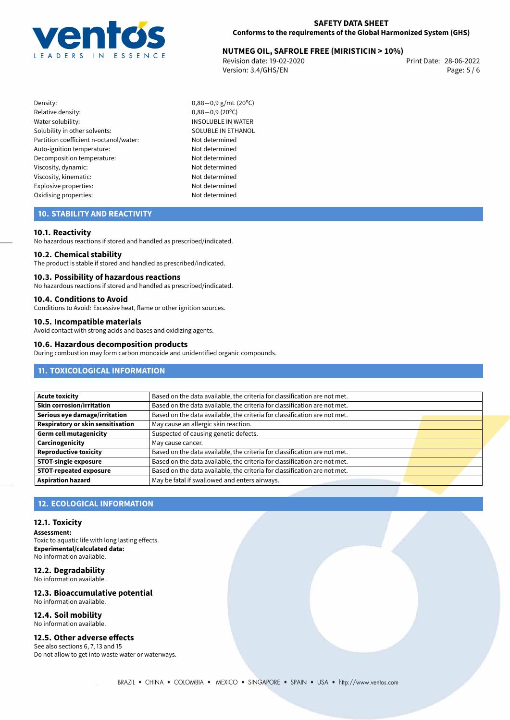

# 28-06-2022 **NUTMEG OIL, SAFROLE FREE (MIRISTICIN > 10%)**

Revision date: 19-02-2020 Version: 3.4/GHS/EN Page: 5 / 6

- Density: 0,88−0,9 g/mL (20°C)<br>Relative density: 0,88−0,9 (20°C) Relative density:<br>Water solubility: Solubility in other solvents: SOLUBLE IN ETHANOL Partition coefficient n-octanol/water: Not determined Auto-ignition temperature: Not determined Decomposition temperature: Not determined Viscosity, dynamic: Not determined Viscosity, kinematic: Not determined Explosive properties: Not determined Oxidising properties: Not determined
	- INSOLUBLE IN WATER

## **10. STABILITY AND REACTIVITY**

#### **10.1. Reactivity**

No hazardous reactions if stored and handled as prescribed/indicated.

#### **10.2. Chemical stability**

The product is stable if stored and handled as prescribed/indicated.

#### **10.3. Possibility of hazardous reactions**

No hazardous reactions if stored and handled as prescribed/indicated.

## **10.4. Conditions to Avoid**

Conditions to Avoid: Excessive heat, flame or other ignition sources.

# **10.5. Incompatible materials**

Avoid contact with strong acids and bases and oxidizing agents.

#### **10.6. Hazardous decomposition products**

During combustion may form carbon monoxide and unidentified organic compounds.

## **11. TOXICOLOGICAL INFORMATION**

| <b>Acute toxicity</b>             | Based on the data available, the criteria for classification are not met. |
|-----------------------------------|---------------------------------------------------------------------------|
| <b>Skin corrosion/irritation</b>  | Based on the data available, the criteria for classification are not met. |
| Serious eye damage/irritation     | Based on the data available, the criteria for classification are not met. |
| Respiratory or skin sensitisation | May cause an allergic skin reaction.                                      |
| <b>Germ cell mutagenicity</b>     | Suspected of causing genetic defects.                                     |
| Carcinogenicity                   | May cause cancer.                                                         |
| <b>Reproductive toxicity</b>      | Based on the data available, the criteria for classification are not met. |
| <b>STOT-single exposure</b>       | Based on the data available, the criteria for classification are not met. |
| <b>STOT-repeated exposure</b>     | Based on the data available, the criteria for classification are not met. |
| <b>Aspiration hazard</b>          | May be fatal if swallowed and enters airways.                             |

## **12. ECOLOGICAL INFORMATION**

#### **12.1. Toxicity**

**Assessment:** Toxic to aquatic life with long lasting effects. **Experimental/calculated data:** No information available.

#### **12.2. Degradability** No information available.

## **12.3. Bioaccumulative potential** No information available.

**12.4. Soil mobility** No information available.

## **12.5. Other adverse effects**

See also sections 6, 7, 13 and 15 Do not allow to get into waste water or waterways.